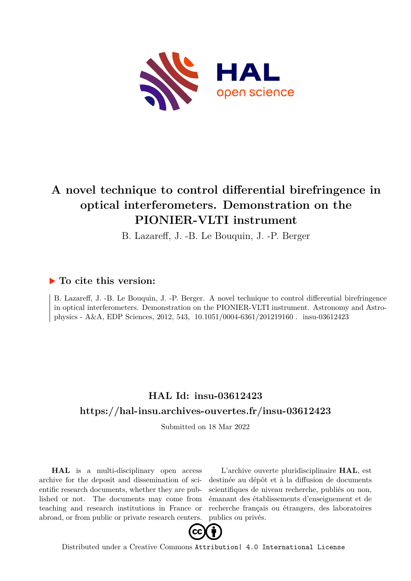

# **A novel technique to control differential birefringence in optical interferometers. Demonstration on the PIONIER-VLTI instrument**

B. Lazareff, J. -B. Le Bouquin, J. -P. Berger

# **To cite this version:**

B. Lazareff, J. -B. Le Bouquin, J. -P. Berger. A novel technique to control differential birefringence in optical interferometers. Demonstration on the PIONIER-VLTI instrument. Astronomy and Astrophysics - A&A, EDP Sciences, 2012, 543, 10.1051/0004-6361/201219160. insu-03612423

# **HAL Id: insu-03612423 <https://hal-insu.archives-ouvertes.fr/insu-03612423>**

Submitted on 18 Mar 2022

**HAL** is a multi-disciplinary open access archive for the deposit and dissemination of scientific research documents, whether they are published or not. The documents may come from teaching and research institutions in France or abroad, or from public or private research centers.

L'archive ouverte pluridisciplinaire **HAL**, est destinée au dépôt et à la diffusion de documents scientifiques de niveau recherche, publiés ou non, émanant des établissements d'enseignement et de recherche français ou étrangers, des laboratoires publics ou privés.



Distributed under a Creative Commons [Attribution| 4.0 International License](http://creativecommons.org/licenses/by/4.0/)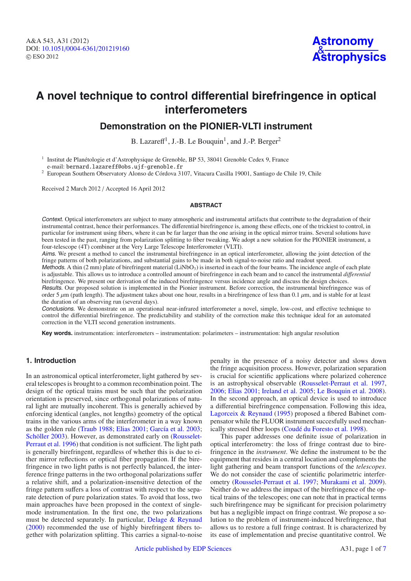

# **A novel technique to control differential birefringence in optical interferometers**

# **Demonstration on the PIONIER-VLTI instrument**

B. Lazareff<sup>1</sup>, J.-B. Le Bouquin<sup>1</sup>, and J.-P. Berger<sup>2</sup>

<sup>1</sup> Institut de Planétologie et d'Astrophysique de Grenoble, BP 53, 38041 Grenoble Cedex 9, France

e-mail: bernard.lazareff@obs.ujf-grenoble.fr

<sup>2</sup> European Southern Observatory Alonso de Córdova 3107, Vitacura Casilla 19001, Santiago de Chile 19, Chile

Received 2 March 2012 / Accepted 16 April 2012

### **ABSTRACT**

Context. Optical interferometers are subject to many atmospheric and instrumental artifacts that contribute to the degradation of their instrumental contrast, hence their performances. The differential birefringence is, among these effects, one of the trickiest to control, in particular for instrument using fibers, where it can be far larger than the one arising in the optical mirror trains. Several solutions have been tested in the past, ranging from polarization splitting to fiber tweaking. We adopt a new solution for the PIONIER instrument, a four-telescope (4T) combiner at the Very Large Telescope Interferometer (VLTI).

Aims. We present a method to cancel the instrumental birefringence in an optical interferometer, allowing the joint detection of the fringe patterns of both polarizations, and substantial gains to be made in both signal-to-noise ratio and readout speed.

Methods. A thin  $(2 \text{ mm})$  plate of birefringent material  $(LiNbO<sub>3</sub>)$  is inserted in each of the four beams. The incidence angle of each plate is adjustable. This allows us to introduce a controlled amount of birefringence in each beam and to cancel the instrumental *di*ff*erential* birefringence. We present our derivation of the induced birefringence versus incidence angle and discuss the design choices.

Results. Our proposed solution is implemented in the Pionier instrument. Before correction, the instrumental birefringence was of order 5  $\mu$ m (path length). The adjustment takes about one hour, results in a birefringence of less than 0.1  $\mu$ m, and is stable for at least the duration of an observing run (several days).

Conclusions. We demonstrate on an operational near-infrared interferometer a novel, simple, low-cost, and effective technique to control the differential birefringence. The predictability and stability of the correction make this technique ideal for an automated correction in the VLTI second generation instruments.

**Key words.** instrumentation: interferometers – instrumentation: polarimeters – instrumentation: high angular resolution

# **1. Introduction**

In an astronomical optical interferometer, light gathered by several telescopes is brought to a common recombination point. The design of the optical trains must be such that the polarization orientation is preserved, since orthogonal polarizations of natural light are mutually incoherent. This is generally achieved by enforcing identical (angles, not lengths) geometry of the optical trains in the various arms of the interferometer in a way known as the golden rule (Traub 1988; Elias 2001; García et al. 2003; Schöller 2003). However, as demonstrated early on (Rousselet-Perraut et al. 1996) that condition is not sufficient. The light path is generally birefringent, regardless of whether this is due to either mirror reflections or optical fiber propagation. If the birefringence in two light paths is not perfectly balanced, the interference fringe patterns in the two orthogonal polarizations suffer a relative shift, and a polarization-insensitive detection of the fringe pattern suffers a loss of contrast with respect to the separate detection of pure polarization states. To avoid that loss, two main approaches have been proposed in the context of singlemode instrumentation. In the first one, the two polarizations must be detected separately. In particular, Delage & Reynaud (2000) recommended the use of highly birefringent fibers together with polarization splitting. This carries a signal-to-noise

penalty in the presence of a noisy detector and slows down the fringe acquisition process. However, polarization separation is crucial for scientific applications where polarized coherence is an astrophysical observable (Rousselet-Perraut et al. 1997, 2006; Elias 2001; Ireland et al. 2005; Le Bouquin et al. 2008). In the second approach, an optical device is used to introduce a differential birefringence compensation. Following this idea, Lagorceix & Reynaud (1995) proposed a fibered Babinet compensator while the FLUOR instrument succesfully used mechanically stressed fiber loops (Coudé du Foresto et al. 1998).

This paper addresses one definite issue of polarization in optical interferometry: the loss of fringe contrast due to birefringence in the *instrument*. We define the instrument to be the equipment that resides in a central location and complements the light gathering and beam transport functions of the *telescopes*. We do not consider the case of scientific polarimetric interferometry (Rousselet-Perraut et al. 1997; Murakami et al. 2009). Neither do we address the impact of the birefringence of the optical trains of the telescopes; one can note that in practical terms such birefringence may be significant for precision polarimetry but has a negligible impact on fringe contrast. We propose a solution to the problem of instrument-induced birefringence, that allows us to restore a full fringe contrast. It is characterized by its ease of implementation and precise quantitative control. We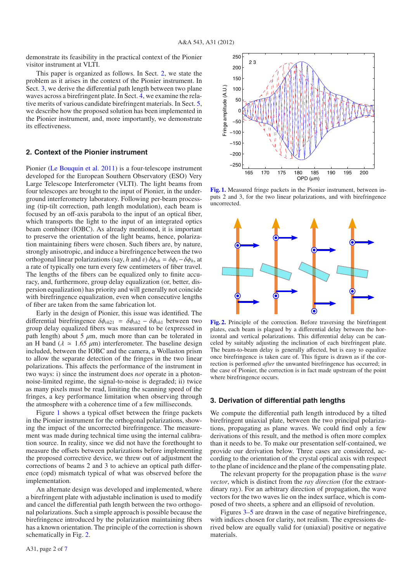demonstrate its feasibility in the practical context of the Pionier visitor instrument at VLTI.

This paper is organized as follows. In Sect. 2, we state the problem as it arises in the context of the Pionier instrument. In Sect. 3, we derive the differential path length between two plane waves across a birefringent plate. In Sect. 4, we examine the relative merits of various candidate birefringent materials. In Sect. 5, we describe how the proposed solution has been implemented in the Pionier instrument, and, more importantly, we demonstrate its effectiveness.

### **2. Context of the Pionier instrument**

Pionier (Le Bouquin et al. 2011) is a four-telescope instrument developed for the European Southern Observatory (ESO) Very Large Telescope Interferometer (VLTI). The light beams from four telescopes are brought to the input of Pionier, in the underground interferometry laboratory. Following per-beam processing (tip-tilt correction, path length modulation), each beam is focused by an off-axis parabola to the input of an optical fiber, which transports the light to the input of an integrated optics beam combiner (IOBC). As already mentioned, it is important to preserve the orientation of the light beams, hence, polarization maintaining fibers were chosen. Such fibers are, by nature, strongly anisotropic, and induce a birefringence between the two orthogonal linear polarizations (say, *h* and v)  $\delta \phi_{vh} = \delta \phi_v - \delta \phi_h$ , at a rate of typically one turn every few centimeters of fiber travel. The lengths of the fibers can be equalized only to finite accuracy, and, furthermore, group delay equalization (or, better, dispersion equalization) has priority and will generally not coincide with birefringence equalization, even when consecutive lengths of fiber are taken from the same fabrication lot.

Early in the design of Pionier, this issue was identified. The differential birefringence  $\delta \phi_{v h 21} = \delta \phi_{v h 2} - \delta \phi_{v h 1}$  between two group delay equalized fibers was measured to be (expressed in path length) about 5  $\mu$ m, much more than can be tolerated in an H band ( $\lambda \approx 1.65 \ \mu \text{m}$ ) interferometer. The baseline design included, between the IOBC and the camera, a Wollaston prism to allow the separate detection of the fringes in the two linear polarizations. This affects the performance of the instrument in two ways: i) since the instrument does *not* operate in a photonnoise-limited regime, the signal-to-noise is degraded; ii) twice as many pixels must be read, limiting the scanning speed of the fringes, a key performance limitation when observing through the atmosphere with a coherence time of a few milliseconds.

Figure 1 shows a typical offset between the fringe packets in the Pionier instrument for the orthogonal polarizations, showing the impact of the uncorrected birefringence. The measurement was made during technical time using the internal calibration source. In reality, since we did not have the forethought to measure the offsets between polarizations before implementing the proposed corrective device, we threw out of adjustment the corrections of beams 2 and 3 to achieve an optical path difference (opd) mismatch typical of what was observed before the implementation.

An alternate design was developed and implemented, where a birefringent plate with adjustable inclination is used to modify and cancel the differential path length between the two orthogonal polarizations. Such a simple approach is possible because the birefringence introduced by the polarization maintaining fibers has a known orientation. The principle of the correction is shown schematically in Fig. 2.



**[Fig. 1.](http://dexter.edpsciences.org/applet.php?DOI=10.1051/0004-6361/201219160&pdf_id=1)** Measured fringe packets in the Pionier instrument, between inputs 2 and 3, for the two linear polarizations, and with birefringence uncorrected.



**[Fig. 2.](http://dexter.edpsciences.org/applet.php?DOI=10.1051/0004-6361/201219160&pdf_id=2)** Principle of the correction. Before traversing the birefringent plates, each beam is plagued by a differential delay between the horizontal and vertical polarizations. This differential delay can be canceled by suitably adjusting the inclination of each birefringent plate. The beam-to-beam delay is generally affected, but is easy to equalize once birefringence is taken care of. This figure is drawn as if the correction is performed *after* the unwanted birefringence has occurred; in the case of Pionier, the correction is in fact made upstream of the point where birefringence occurs.

#### **3. Derivation of differential path lengths**

We compute the differential path length introduced by a tilted birefringent uniaxial plate, between the two principal polarizations, propagating as plane waves. We could find only a few derivations of this result, and the method is often more complex than it needs to be. To make our presentation self-contained, we provide our derivation below. Three cases are considered, according to the orientation of the crystal optical axis with respect to the plane of incidence and the plane of the compensating plate.

The relevant property for the propagation phase is the *wave vector*, which is distinct from the *ray direction* (for the extraordinary ray). For an arbitrary direction of propagation, the wave vectors for the two waves lie on the index surface, which is composed of two sheets, a sphere and an ellipsoid of revolution.

Figures 3–5 are drawn in the case of negative birefringence, with indices chosen for clarity, not realism. The expressions derived below are equally valid for (uniaxial) positive or negative materials.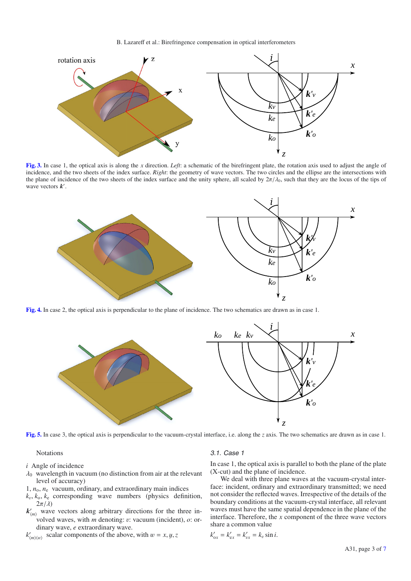B. Lazareff et al.: Birefringence compensation in optical interferometers



**[Fig. 3.](http://dexter.edpsciences.org/applet.php?DOI=10.1051/0004-6361/201219160&pdf_id=3)** In case 1, the optical axis is along the *x* direction. *Left*: a schematic of the birefringent plate, the rotation axis used to adjust the angle of incidence, and the two sheets of the index surface. *Right*: the geometry of wave vectors. The two circles and the ellipse are the intersections with the plane of incidence of the two sheets of the index surface and the unity sphere, all scaled by  $2\pi/\lambda_0$ , such that they are the locus of the tips of wave vectors *k* .



**[Fig. 4.](http://dexter.edpsciences.org/applet.php?DOI=10.1051/0004-6361/201219160&pdf_id=4)** In case 2, the optical axis is perpendicular to the plane of incidence. The two schematics are drawn as in case 1.



**[Fig. 5.](http://dexter.edpsciences.org/applet.php?DOI=10.1051/0004-6361/201219160&pdf_id=5)** In case 3, the optical axis is perpendicular to the vacuum-crystal interface, i.e. along the *z* axis. The two schematics are drawn as in case 1.

#### **Notations**

- *i* Angle of incidence
- $\lambda_0$  wavelength in vacuum (no distinction from air at the relevant level of accuracy)
- $1, n<sub>o</sub>, n<sub>e</sub>$  vacuum, ordinary, and extraordinary main indices
- $k_v, k_o, k_e$  corresponding wave numbers (physics definition,  $2\pi/\lambda$ )
- $k'_{(m)}$  wave vectors along arbitrary directions for the three involved waves, with *m* denoting: v: vacuum (incident), *o*: ordinary wave, *e* extraordinary wave.
- $k'_{\langle m \rangle \langle w \rangle}$  scalar components of the above, with  $w = x, y, z$

## 3.1. Case 1

In case 1, the optical axis is parallel to both the plane of the plate (X-cut) and the plane of incidence.

We deal with three plane waves at the vacuum-crystal interface: incident, ordinary and extraordinary transmitted; we need not consider the reflected waves. Irrespective of the details of the boundary conditions at the vacuum-crystal interface, all relevant waves must have the same spatial dependence in the plane of the interface. Therefore, the *x* component of the three wave vectors share a common value

$$
k'_{\text{ox}} = k'_{\text{ex}} = k'_{\text{vx}} = k_v \sin i.
$$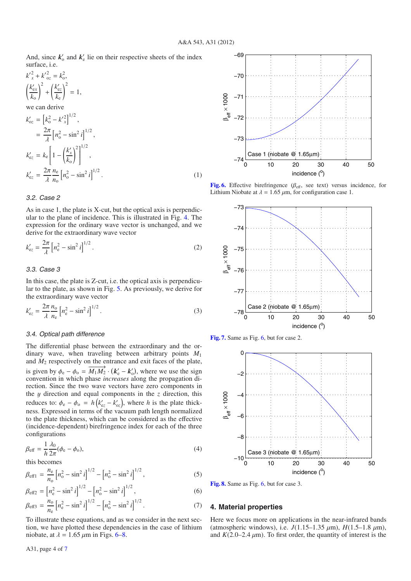And, since  $k_0$  and  $k_0$  lie on their respective sheets of the index surface, i.e.

$$
k'^{2} + k'^{2}_{oz} = k_{o}^{2},
$$
  
\n
$$
\left(\frac{k'_{ex}}{k_{o}}\right)^{2} + \left(\frac{k'_{ez}}{k_{e}}\right)^{2} = 1,
$$
  
\nwe can derive  
\n
$$
k'_{oz} = \left[k_{o}^{2} - k'^{2}_{x}\right]^{1/2},
$$
  
\n
$$
= \frac{2\pi}{\lambda} \left[n_{o}^{2} - \sin^{2} i\right]^{1/2},
$$
  
\n
$$
k'_{ez} = k_{e} \left[1 - \left(\frac{k'_{x}}{k_{o}}\right)^{2}\right]^{1/2},
$$
  
\n
$$
k'_{ez} = \frac{2\pi}{\lambda} \frac{n_{e}}{n_{o}} \left[n_{o}^{2} - \sin^{2} i\right]^{1/2}.
$$
  
\n(1)

### 3.2. Case 2

As in case 1, the plate is X-cut, but the optical axis is perpendicular to the plane of incidence. This is illustrated in Fig. 4. The expression for the ordinary wave vector is unchanged, and we derive for the extraordinary wave vector

$$
k'_{\rm eg} = \frac{2\pi}{\lambda} \left[ n_{\rm e}^2 - \sin^2 i \right]^{1/2} . \tag{2}
$$

# 3.3. Case 3

In this case, the plate is Z-cut, i.e. the optical axis is perpendicular to the plate, as shown in Fig. 5. As previously, we derive for the extraordinary wave vector

$$
k'_{\rm eg} = \frac{2\pi}{\lambda} \frac{n_{\rm o}}{n_{\rm e}} \left[ n_{\rm e}^2 - \sin^2 i \right]^{1/2} . \tag{3}
$$

#### 3.4. Optical path difference

The differential phase between the extraordinary and the ordinary wave, when traveling between arbitrary points *M*<sup>1</sup> and *M*<sup>2</sup> respectively on the entrance and exit faces of the plate, is given by  $\phi_e - \phi_o = \overrightarrow{M_1 M_2} \cdot (k'_e - k'_o)$ , where we use the sign convention in which phase *increases* along the propagation direction. Since the two wave vectors have zero components in the y direction and equal components in the *z* direction, this reduces to:  $\phi_e - \phi_o = h \left( k'_{ez} - k'_{oz} \right)$ , where *h* is the plate thickness. Expressed in terms of the vacuum path length normalized to the plate thickness, which can be considered as the effective (incidence-dependent) birefringence index for each of the three configurations

$$
\beta_{\text{eff}} = \frac{1}{h} \frac{\lambda_0}{2\pi} (\phi_e - \phi_o), \tag{4}
$$

this becomes

$$
\beta_{\text{eff1}} = \frac{n_{\text{e}}}{n_{\text{o}}} \left[ n_{\text{o}}^2 - \sin^2 i \right]^{1/2} - \left[ n_{\text{o}}^2 - \sin^2 i \right]^{1/2},\tag{5}
$$

$$
\beta_{\text{eff2}} = \left[ n_{\text{e}}^2 - \sin^2 i \right]^{1/2} - \left[ n_{\text{o}}^2 - \sin^2 i \right]^{1/2},\tag{6}
$$

$$
\beta_{\text{eff3}} = \frac{n_o}{n_e} \left[ n_e^2 - \sin^2 i \right]^{1/2} - \left[ n_o^2 - \sin^2 i \right]^{1/2} . \tag{7}
$$

To illustrate these equations, and as we consider in the next section, we have plotted these dependencies in the case of lithium niobate, at  $\lambda = 1.65 \mu m$  in Figs. 6–8.



**[Fig. 6.](http://dexter.edpsciences.org/applet.php?DOI=10.1051/0004-6361/201219160&pdf_id=6)** Effective birefringence ( $\beta_{\text{eff}}$ , see text) versus incidence, for Lithium Niobate at  $\lambda = 1.65 \mu$ m, for configuration case 1.



**[Fig. 7.](http://dexter.edpsciences.org/applet.php?DOI=10.1051/0004-6361/201219160&pdf_id=7)** Same as Fig. 6, but for case 2.



**[Fig. 8.](http://dexter.edpsciences.org/applet.php?DOI=10.1051/0004-6361/201219160&pdf_id=8)** Same as Fig. 6, but for case 3.

#### **4. Material properties**

Here we focus more on applications in the near-infrared bands (atmospheric windows), i.e. *J*(1.15–1.35 μm), *H*(1.5–1.8 μm), and  $K(2.0-2.4 \mu m)$ . To first order, the quantity of interest is the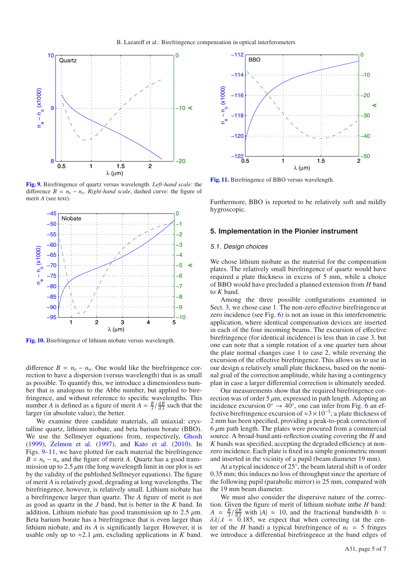

**[Fig. 9.](http://dexter.edpsciences.org/applet.php?DOI=10.1051/0004-6361/201219160&pdf_id=9)** Birefringence of quartz versus wavelength. *Left-hand scale*: the difference  $B = n_e - n_o$ . *Right-hand scale*, dashed curve: the figure of merit *A* (see text).



**[Fig. 10.](http://dexter.edpsciences.org/applet.php?DOI=10.1051/0004-6361/201219160&pdf_id=10)** Birefringence of lithium niobate versus wavelength.

difference  $B = n_e - n_o$ . One would like the birefringence correction to have a dispersion (versus wavelength) that is as small as possible. To quantify this, we introduce a dimensionless number that is analogous to the Abbe number, but applied to birefringence, and without reference to specific wavelengths. This number *A* is defined as a figure of merit  $A = \frac{B}{\lambda} / \frac{dB}{d\lambda}$  such that the larger (in absolute value), the better.

We examine three candidate materials, all uniaxial: crystalline quartz, lithium niobate, and beta barium borate (BBO). We use the Sellmeyer equations from, respectively, Ghosh (1999), Zelmon et al. (1997), and Kato et al. (2010). In Figs. 9–11, we have plotted for each material the birefringence  $B = n_e - n_o$  and the figure of merit *A*. Quartz has a good transmission up to  $2.5 \mu m$  (the long wavelength limit in our plot is set by the validity of the published Sellmeyer equations). The figure of merit *A* is relatively good, degrading at long wavelengths. The birefringence, however, is relatively small. Lithium niobate has a birefringence larger than quartz. The *A* figure of merit is not as good as quartz in the *J* band, but is better in the *K* band. In addition, Lithium niobate has good transmission up to 2.5  $\mu$ m. Beta barium borate has a birefringence that is even larger than lithium niobate, and its *A* is significantly larger. However, it is usable only up to  $\approx 2.1 \mu m$ , excluding applications in *K* band.



**[Fig. 11.](http://dexter.edpsciences.org/applet.php?DOI=10.1051/0004-6361/201219160&pdf_id=11)** Birefringence of BBO versus wavelength.

Furthermore, BBO is reported to be relatively soft and mildly hygroscopic.

#### **5. Implementation in the Pionier instrument**

### 5.1. Design choices

We chose lithium niobate as the material for the compensation plates. The relatively small birefringence of quartz would have required a plate thickness in excess of 5 mm, while a choice of BBO would have precluded a planned extension from *H* band to *K* band.

Among the three possible configurations examined in Sect. 3, we chose case 1. The non-zero effective birefringence at zero incidence (see Fig. 6) is not an issue in this interferometric application, where identical compensation devices are inserted in each of the four incoming beams. The excursion of effective birefringence (for identical incidence) is less than in case 3, but one can note that a simple rotation of a one quarter turn about the plate normal changes case 1 to case 2, while reversing the excursion of the effective birefringence. This allows us to use in our design a relatively small plate thickness, based on the nominal goal of the correction amplitude, while having a contingency plan in case a larger differential correction is ultimately needed.

Our measurements show that the required birefringence correction was of order  $5 \mu m$ , expressed in path length. Adopting an incidence excursion  $0^\circ \rightarrow 40^\circ$ , one can infer from Fig. 6 an effective birefringence excursion of  $\approx 3 \times 10^{-3}$ ; a plate thickness of 2 mm has been specified, providing a peak-to-peak correction of  $6 \mu m$  path length. The plates were procured from a commercial source. A broad-band anti-reflection coating covering the *H* and *K* bands was specified, accepting the degraded efficiency at nonzero incidence. Each plate is fixed in a simple goniometric mount and inserted in the vicinity of a pupil (beam diameter 19 mm).

At a typical incidence of 25◦, the beam lateral shift is of order 0.35 mm; this induces no loss of throughput since the aperture of the following pupil (parabolic mirror) is 25 mm, compared with the 19 mm beam diameter.

We must also consider the dispersive nature of the correction. Given the figure of merit of lithium niobate inthe *H* band:  $A = \frac{B}{\lambda} \int \frac{dB}{d\lambda}$  with  $|A| \approx 10$ , and the fractional bandwidth  $b =$  $\delta \lambda / \lambda \approx 0.185$ , we expect that when correcting (at the center of the *H* band) a typical birefringence of  $n_f = 5$  fringes we introduce a differential birefringence at the band edges of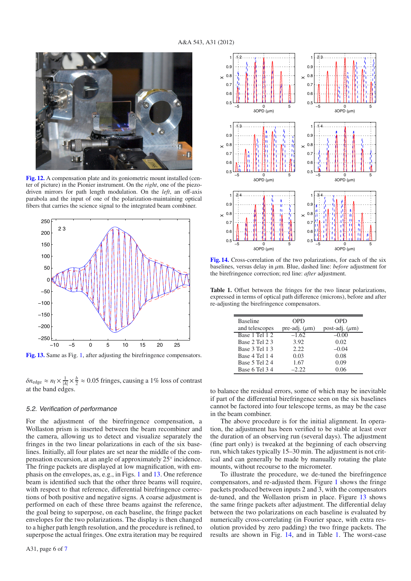

**[Fig. 12.](http://dexter.edpsciences.org/applet.php?DOI=10.1051/0004-6361/201219160&pdf_id=12)** A compensation plate and its goniometric mount installed (center of picture) in the Pionier instrument. On the *right*, one of the piezodriven mirrors for path length modulation. On the *left*, an off-axis parabola and the input of one of the polarization-maintaining optical fibers that carries the science signal to the integrated beam combiner.



**[Fig. 13.](http://dexter.edpsciences.org/applet.php?DOI=10.1051/0004-6361/201219160&pdf_id=13)** Same as Fig. 1, after adjusting the birefringence compensators.

 $\delta n_{\text{edge}} \approx n_f \times \frac{1}{|A|} \times \frac{b}{2} \approx 0.05$  fringes, causing a 1% loss of contrast at the band edges.

#### 5.2. Verification of performance

For the adjustment of the birefringence compensation, a Wollaston prism is inserted between the beam recombiner and the camera, allowing us to detect and visualize separately the fringes in the two linear polarizations in each of the six baselines. Initially, all four plates are set near the middle of the compensation excursion, at an angle of approximately 25◦ incidence. The fringe packets are displayed at low magnification, with emphasis on the envelopes, as, e.g., in Figs. 1 and 13. One reference beam is identified such that the other three beams will require, with respect to that reference, differential birefringence corrections of both positive and negative signs. A coarse adjustment is performed on each of these three beams against the reference, the goal being to superpose, on each baseline, the fringe packet envelopes for the two polarizations. The display is then changed to a higher path length resolution, and the procedure is refined, to superpose the actual fringes. One extra iteration may be required



**[Fig. 14.](http://dexter.edpsciences.org/applet.php?DOI=10.1051/0004-6361/201219160&pdf_id=14)** Cross-correlation of the two polarizations, for each of the six baselines, versus delay in μm. Blue, dashed line: *before* adjustment for the birefringence correction; red line: *after* adjustment.

**Table 1.** Offset between the fringes for the two linear polarizations, expressed in terms of optical path difference (microns), before and after re-adjusting the birefringence compensators.

| <b>Baseline</b> | <b>OPD</b>         | OPD                 |
|-----------------|--------------------|---------------------|
| and telescopes  | pre-adj. $(\mu m)$ | post-adj. $(\mu m)$ |
| Base 1 Tel 1 2  | $-1.62$            | $-0.00$             |
| Base 2 Tel 2 3  | 3.92               | 0.02                |
| Base 3 Tel 1 3  | 2.22.              | $-0.04$             |
| Base 4 Tel 14   | 0.03               | 0.08                |
| Base 5 Tel 24   | 1.67               | 0.09                |
| Base 6 Tel 34   | -2.22              |                     |

to balance the residual errors, some of which may be inevitable if part of the differential birefringence seen on the six baselines cannot be factored into four telescope terms, as may be the case in the beam combiner.

The above procedure is for the initial alignment. In operation, the adjustment has been verified to be stable at least over the duration of an observing run (several days). The adjustment (fine part only) is tweaked at the beginning of each observing run, which takes typically 15–30 min. The adjustment is not critical and can generally be made by manually rotating the plate mounts, without recourse to the micrometer.

To illustrate the procedure, we de-tuned the birefringence compensators, and re-adjusted them. Figure 1 shows the fringe packets produced between inputs 2 and 3, with the compensators de-tuned, and the Wollaston prism in place. Figure 13 shows the same fringe packets after adjustment. The differential delay between the two polarizations on each baseline is evaluated by numerically cross-correlating (in Fourier space, with extra resolution provided by zero padding) the two fringe packets. The results are shown in Fig. 14, and in Table 1. The worst-case